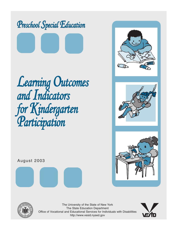# Preschool Special Education Learning Outcomes and Indicators

for Kindergarten Participation







The University of the State of New York The State Education Department Office of Vocational and Educational Services for Individuals with Disabilities http://www.vesid.nysed.gov



August 2003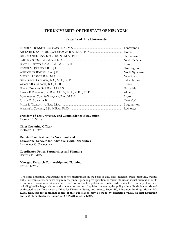### **THE UNIVERSITY OF THE STATE OF NEW YORK**

### **Regents of The University**

| Staten Island |
|---------------|
|               |
| Peru          |
|               |
|               |
| New York      |
|               |
|               |
| Hartsdale     |
|               |
| <b>Bronx</b>  |
| New York      |
|               |
|               |

**President of The University and Commissioner of Education**  RICHARD P. MILLS

### **Chief Operating Officer**

RICHARD H. CATE

**Deputy Commissioner for Vocational and Educational Services for Individuals with Disabilities**  LAWRENCE C. GLOECKLER

**Coordinator, Policy, Partnerships and Planning**  DOUGLASS BAILEY

### **Manager, Research, Partnerships and Planning**  RITA D. LEVAY

The State Education Department does not discriminate on the basis of age, color, religion, creed, disability, marital status, veteran status, national origin, race, gender, genetic predisposition or carrier status, or sexual orientation in its educational programs, services and activities. Portions of this publication can be made available in a variety of formats, including braille, large print or audio tape, upon request. Inquiries concerning this policy of nondiscrimination should be directed to the Department's Office for Diversity, Ethics, and Access, Room 530, Education Building, Albany, NY 12234. **Requests for additional copies of this publication may be made by contacting VESID-Special Education Policy Unit, Publications, Room 1624 OCP, Albany, NY 12234.**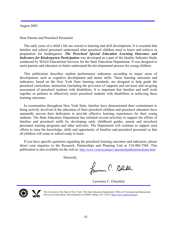August 2003

Dear Parents and Preschool Personnel:

The early years of a child's life are crucial to learning and skill development. It is essential that families and school personnel understand what preschool children need to know and achieve in preparation for kindergarten. *The Preschool Special Education Learning Outcomes and Indicators for Kindergarten Participation* was developed as a part of the Quality Indicator Study conducted by MAGI Educational Services for the State Education Department. It was designed to assist parents and educators to better understand the developmental process for young children.

This publication describes student performance indicators according to major areas of development, such as cognitive development and motor skills. These learning outcomes and indicators, based on the New York State learning standards, are designed to help guide the preschool curriculum, instruction (including the provision of supports and services) and on-going assessment of preschool students with disabilities. It is important that families and staff work together as partners to effectively assist preschool students with disabilities in achieving these learning outcomes.

In communities throughout New York State, families have demonstrated their commitment to being actively involved in the education of their preschool children and preschool educators have repeatedly proven their dedication to provide effective learning experiences for their young students. The State Education Department has initiated several activities to support the efforts of families and preschool staffs by developing early childhood guides, parent and preschool personnel training programs and other activities. The Department will continue to support such efforts to raise the knowledge, skills and opportunity of families and preschool personnel so that all children will come to school ready to learn.

If you have specific questions regarding the preschool learning outcomes and indicators, please direct your inquiries to the Research, Partnerships and Planning Unit at 518-486-7584. This publication is also available on the web at: http://www.vesid.nysed.gov/specialed/publications/home.html

Sincerely,

fammer C. Stande

Lawrence C. Gloeckler



The University of the State of New York • The State Education Department • Office of Vocational and Educational Services for Individuals with Disabilities (VESID)• Albany, NY 12234 • http://www.vesid.nysed.gov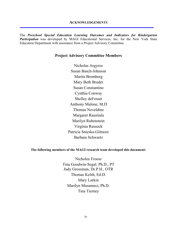### **ACKNOWLEDGEMENTS**

The *Preschool Special Education Learning Outcomes and Indicators for Kindergarten*  **Participation** was developed by MAGI Educational Services, Inc. for the New York State Education Department with assistance from a Project Advisory Committee.

### **Project Advisory Committee Members**

Nicholas Argyros Susan Basch-Johnson Marita Bromberg Mary Beth Bruder Susan Constantino Cynthia Conway Shelley deFosset Anthony Malone, M.D Thomas Neveldine Margaret Raustiala Marilyn Rubenstein Virginia Russock Patricia Snieska-Gilmore Barbara Schwartz

### **The following members of the MAGI research team developed this document:**

Nicholee Froese Tina Goodwin-Segal, Ph.D., PT Judy Grossman, Dr.P.H., OTR Thomas Kelsh, Ed.D. Mary Larkin Marilyn Musumeci, Ph.D. Tina Tierney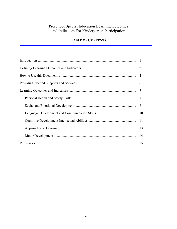# Preschool Special Education Learning Outcomes and Indicators For Kindergarten Participation

# **TABLE OF CONTENTS**

| 8  |
|----|
|    |
|    |
| 13 |
| 14 |
| 15 |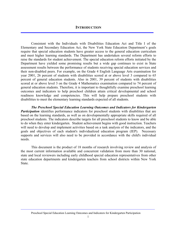Consistent with the Individuals with Disabilities Education Act and Title I of the Elementary and Secondary Education Act, the New York State Education Department's goals require that special education students have greater access to the general education curriculum and meet higher learning standards. The Department has undertaken several reform efforts to raise the standards for student achievement. The special education reform efforts initiated by the Department have yielded some promising results but a wide gap continues to exist in State assessment results between the performance of students receiving special education services and their non-disabled peers. For example, on the Grade 4 English Language Arts examination for year 2001, 26 percent of students with disabilities scored at or above level 3 compared to 65 percent of general education students. Also in 2001, 39 percent of students with disabilities scored at or above level 3 on the Grade 4 Mathematics examination compared to 74 percent of general education students. Therefore, it is important to thoughtfully examine preschool learning outcomes and indicators to help preschool children attain critical developmental and school readiness knowledge and competencies. This will help prepare preschool students with disabilities to meet the elementary learning standards expected of all students.

*The Preschool Special Education Learning Outcomes and Indicators for Kindergarten Participation* identifies performance indicators for preschool students with disabilities that are based on the learning standards, as well as on developmentally appropriate skills required of all preschool students. The indicators describe targets for all preschool students to know and be able to do when they enter kindergarten. Student achievement begins with good instruction. Teachers will need to develop and implement activities based on a task analysis of the indicators, and the goals and objectives of each student's individualized education program (IEP). Necessary supports and services will also need to be provided in accordance with the child's individual needs.

This document is the product of 18 months of research involving review and analysis of the most current information available and concurrent validation from more than 30 national, state and local reviewers including early childhood special education representatives from other state education departments and kindergarten teachers from school districts within New York State.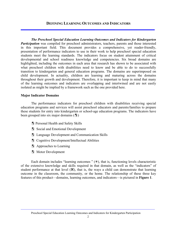# **DEFINING LEARNING OUTCOMES AND INDICATORS**

*The Preschool Special Education Learning Outcomes and Indicators for Kindergarten Participation* was compiled for preschool administrators, teachers, parents and those interested in this important field. This document provides a comprehensive, yet reader-friendly, presentation of performance indicators to use in their work to help preschool special education students meet the learning standards. The indicators focus on student attainment of critical developmental and school readiness knowledge and competencies. Six broad domains are highlighted, including the outcomes in each area that research has shown to be associated with what preschool children with disabilities need to know and be able to do to successfully transition to kindergarten and general education programs. The domains are superimposed on child development. In actuality, children are learning and maturing across the domains throughout their growth and development. Therefore, it is important to keep in mind that many of the learning outcomes and indicators are overlapping and intertwined and are not easily isolated as might be implied by a framework such as the one provided here.

### **Major Indicator Domains**

The performance indicators for preschool children with disabilities receiving special education programs and services will assist preschool educators and parents/families to prepare these students for entry into kindergarten or school-age education programs. The indicators have been grouped into six major domains  $(\hat{\mathbf{F}})$ 

- à Personal Health and Safety Skills
- à Social and Emotional Development
- à Language Development and Communication Skills
- à Cognitive Development/Intellectual Abilities
- à Approaches to Learning
- à Motor Development

Each domain includes "learning outcomes "  $(*),$  that is, functioning levels characteristic of the extensive knowledge and skills required in that domain, as well as the "indicators" of student performance at that level  $(\mathcal{H})$ , that is, the ways a child can demonstrate that learning outcome in the classroom, the community, or the home. The relationship of these three key features of this product—domains, learning outcomes, and indicators—is pictured in **Figure 1**.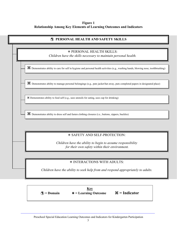### **Figure 1 Relationship Among Key Elements of Learning Outcomes and Indicators**

| (*) PERSONAL HEALTH AND SAFETY SKILLS                                                                                                 |  |
|---------------------------------------------------------------------------------------------------------------------------------------|--|
| * PERSONAL HEALTH SKILLS:<br>Children have the skills necessary to maintain personal health.                                          |  |
| He Demonstrates ability to care for self in hygiene and personal health activities (e.g., washing hands, blowing nose, toothbrushing) |  |
| He Demonstrates ability to manage personal belongings (e.g., puts jacket/hat away, puts completed papers in designated place)         |  |
| <sup>34</sup> Demonstrates ability to feed self (e.g., uses utensils for eating, uses cup for drinking)                               |  |
| H Demonstrates ability to dress self and fasten clothing closures (i.e., buttons, zippers, buckles)                                   |  |
|                                                                                                                                       |  |
| * SAFETY AND SELF-PROTECTION:                                                                                                         |  |
| Children have the ability to begin to assume responsibility<br>for their own safety within their environment.                         |  |
|                                                                                                                                       |  |
| * INTERACTIONS WITH ADULTS:                                                                                                           |  |
| Children have the ability to seek help from and respond appropriately to adults.                                                      |  |

**Key**  à **= Domain** 8 **= Learning Outcome** a **= Indicator**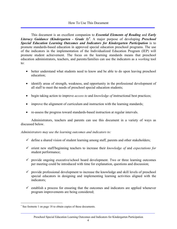This document is an excellent companion to *Essential Elements of Reading* and *Early Literacy Guidance (Kindergarten - Grade 3)*<sup>∗</sup> . A major purpose of developing *Preschool Special Education Learning Outcomes and Indicators for Kindergarten Participation* is to promote standards-based education in approved special education preschool programs. The use of the indicators in the implementation of the Individualized Education Program (IEP) will promote student achievement. The focus on the learning standards means that preschool education administrators, teachers, and parents/families can use the indicators as a *working* tool to:

- better understand what students need to know and be able to do upon leaving preschool education;
- identify areas of strength, weakness, and opportunity in the professional development of all staff to meet the needs of preschool special education students;
- begin taking action to improve *access to* and *knowledge of* instructional best practices;
- improve the alignment of curriculum and instruction with the learning standards;
- re-assess the progress toward standards-based instruction at regular intervals.

Administrators, teachers and parents can use this document in a variety of ways as discussed below.

### *Administrators may use the learning outcomes and indicators to:*

- $\checkmark$  define a shared vision of student learning among staff, parents and other stakeholders;
- 9 orient new staff/beginning teachers to increase their *knowledge of* and *expectations for*  student performance;
- $\checkmark$  provide ongoing executive/school board development. Two or three learning outcomes per meeting could be introduced with time for explanation, questions and discussion;
- $\checkmark$  provide professional development to increase the knowledge and skill levels of preschool special educators in designing and implementing learning activities aligned with the indicators;
- $\checkmark$  establish a process for ensuring that the outcomes and indicators are applied whenever program improvements are being considered;

 $\overline{a}$ 

 See footnote 1 on page 18 to obtain copies of these documents. ∗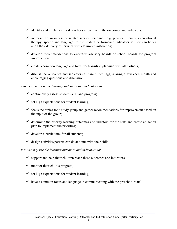- $\checkmark$  identify and implement best practices aligned with the outcomes and indicators;
- $\checkmark$  increase the awareness of related service personnel (e.g. physical therapy, occupational therapy, speech and language) to the student performance indicators so they can better align their delivery of services with classroom instruction;
- $\checkmark$  develop recommendations to executive/advisory boards or school boards for program improvement;
- $\checkmark$  create a common language and focus for transition planning with all partners;
- $\checkmark$  discuss the outcomes and indicators at parent meetings, sharing a few each month and encouraging questions and discussion.

### *Teachers may use the learning outcomes and indicators to:*

- $\checkmark$  continuously assess student skills and progress;
- $\checkmark$  set high expectations for student learning;
- $\checkmark$  focus the topics for a study group and gather recommendations for improvement based on the input of the group;
- $\checkmark$  determine the priority learning outcomes and indictors for the staff and create an action plan to implement the priorities;
- $\checkmark$  develop a curriculum for all students;
- $\checkmark$  design activities parents can do at home with their child.

*Parents may use the learning outcomes and indicators to*:

- $\checkmark$  support and help their children reach these outcomes and indicators;
- $\checkmark$  monitor their child's progress;
- $\checkmark$  set high expectations for student learning;
- $\checkmark$  have a common focus and language in communicating with the preschool staff.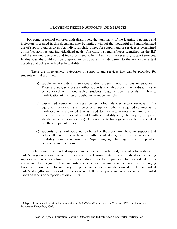### **PROVIDING NEEDED SUPPORTS AND SERVICES**

For some preschool children with disabilities, the attainment of the learning outcomes and indicators presented in this document may be limited without the thoughtful and individualized use of supports and services. An individual child's need for support and/or services is determined by his/her abilities and individualized goals. The child's strengths/needs identified on the IEP and the learning outcomes and indicators need to be linked with the necessary support services. In this way the child can be prepared to participate in kindergarten to the maximum extent possible and achieve to his/her best ability.

There are three general categories of supports and services that can be provided for students with disabilities:

- a) supplementary aids and services and/or program modifications or supports— These are aids, services and other supports to enable students with disabilities to be educated with nondisabled students (e.g., written materials in Braille, modification of curriculum, behavior management plan).
- b) specialized equipment or assistive technology devices and/or services— The equipment or device is any piece of equipment, whether acquired commercially, modified, or customized that is used to increase, maintain or improve the functional capabilities of a child with a disability (e.g., built-up grips, paper stabilizers, voice synthesizers). An assistive technology service helps a student use the equipment or device.
- c) supports for school personnel on behalf of the student— These are supports that help staff more effectively work with a student (e.g., information on a specific disability, training in American Sign Language, training in specific positive behavioral interventions). $<sup>1</sup>$ </sup>

In tailoring the individual supports and services for each child, the goal is to facilitate the child's progress toward his/her IEP goals and the learning outcomes and indicators. Providing supports and services allows students with disabilities to be prepared for general education instruction. In designing these supports and services it is important to create a challenging learning environment. In summary, supports and services are determined by the individual child's strengths and areas of instructional need; these supports and services are not provided based on labels or categories of disabilities.

 $\overline{a}$ 

<sup>1</sup> Adapted from NYS Education Department *Sample Individualized Education Program (IEP) and Guidance Document*, December, 2002.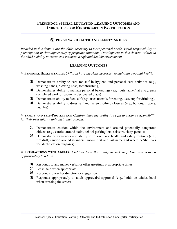# **PRESCHOOL SPECIAL EDUCATION LEARNING OUTCOMES AND INDICATORS FOR KINDERGARTEN PARTICIPATION**

## à **PERSONAL HEALTH AND SAFETY SKILLS**

*Included in this domain are the skills necessary to meet personal needs, social responsibility or participation in developmentally appropriate situations. Development in this domain relates to the child's ability to create and maintain a safe and healthy environment.* 

# **LEARNING OUTCOMES**

### 8 **PERSONAL HEALTH SKILLS:** *Children have the skills necessary to maintain personal health.*

- a Demonstrates ability to care for self in hygiene and personal care activities (e.g., washing hands, blowing nose, toothbrushing)
- a Demonstrates ability to manage personal belongings (e.g., puts jacket/hat away, puts completed work or papers in designated place)
- $\mathcal{H}$  Demonstrates ability to feed self (e.g., uses utensils for eating, uses cup for drinking).
- a Demonstrates ability to dress self and fasten clothing closures (e.g., buttons, zippers, buckles)

8 **SAFETY AND SELF-PROTECTION***: Children have the ability to begin to assume responsibility for their own safety within their environment.* 

- a Demonstrates caution within the environment and around potentially dangerous objects (e.g., careful around stairs, school parking lots, scissors, sharp pencils)
- $\mathcal H$  Demonstrates awareness and ability to follow basic health and safety routines (e.g., fire drill, caution around strangers, knows first and last name and where he/she lives for identification purposes)

8 **INTERACTIONS WITH ADULTS***: Children have the ability to seek help from and respond appropriately to adults.* 

- a Responds to and makes verbal or other greetings at appropriate times
- a Seeks help when appropriate
- a Responds to teacher direction or suggestion
- a Responds appropriately to adult approval/disapproval (e.g., holds an adult's hand when crossing the street)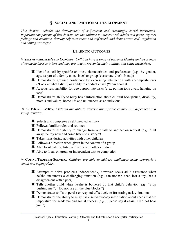### à **SOCIAL AND EMOTIONAL DEVELOPMENT**

*This domain includes the development of self-esteem and meaningful social interaction. Important components of this domain are the abilities to interact with adults and peers, express feelings and emotions, develop self-awareness and self-worth and demonstrate self- regulation and coping strategies.* 

# **LEARNING OUTCOMES**

8 **SELF-AWARENESS/SELF CONCEPT***: Children have a sense of personal identity and awareness of connectedness to others and they are able to recognize their abilities and value themselves.* 

- $\mathcal H$  Identifies self by specific abilities, characteristics and preferences (e.g., by gender, age, as part of a family (son, sister) or group (classmate, Joe's friend))
- a Demonstrates growing confidence by expressing satisfaction with accomplishments ("Look at what I did!") or ability to conduct a task ("I am good at  $\qquad$ .")
- a Accepts responsibility for age-appropriate tasks (e.g., putting toys away, hanging up coat)
- a Demonstrates ability to relay basic information about cultural background, disability, morals and values, home life and uniqueness as an individual

8 **SELF-REGULATION***: Children are able to exercise appropriate control in independent and group activities.* 

- a Selects and completes a self-directed activity
- a Follows familiar rules and routines
- a Demonstrates the ability to change from one task to another on request (e.g., "Put away the toy now and come listen to a story.")
- a Takes turns during activities with other children
- a Follows a direction when given in the context of a group
- a Able to sit calmly, listen and work with other children
- a Able to focus on group or independent task to completion

8 **COPING/PROBLEM-SOLVING***: Children are able to address challenges using appropriate social and coping skills.* 

- a Attempts to solve problems independently, however, seeks adult assistance when he/she encounters a challenging situation (e.g., can not zip coat, lost a toy, has a disagreement with a peer).
- $\mathcal H$  Tells another child when he/she is bothered by that child's behavior (e.g., "Stop pushing me."; " Do not use all the blue blocks.")
- a Demonstrates skills to persist or respond effectively to frustrating tasks, situations
- a Demonstrates the ability to relay basic self-advocacy information about needs that are imperative for academic and social success (e.g., "Please say it again. I did not hear you.")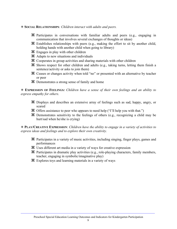### 8 **SOCIAL RELATIONSHIPS***: Children interact with adults and peers.*

- a Participates in conversations with familiar adults and peers (e.g., engaging in communication that involves several exchanges of thoughts or ideas)
- $\mathcal H$  Establishes relationships with peers (e.g., making the effort to sit by another child, holding hands with another child when going to library)
- $\mathcal{H}$  Engages in play with other children
- $\mathcal H$  Adapts to new situations and individuals
- a Cooperates in group activities and sharing materials with other children
- $\mathcal{H}$  Shows respect for other children and adults (e.g., taking turns, letting them finish a sentence/activity or asks to join them)
- a Ceases or changes activity when told "no" or presented with an alternative by teacher or peer
- a Demonstrates a strong sense of family and home

8 **EXPRESSION OF FEELINGS***: Children have a sense of their own feelings and an ability to express empathy for others.* 

- a Displays and describes an extensive array of feelings such as sad, happy, angry, or scared
- a Offers assistance to peer who appears to need help ("I'll help you with that.")
- $\mathcal B$  Demonstrates sensitivity to the feelings of others (e.g., recognizing a child may be hurt/sad when he/she is crying)

8 **PLAY/CREATIVE EXPRESSION**: *Children have the ability to engage in a variety of activities to express ideas and feelings and to explore their own creativity.* 

- a Participates in a variety of music activities, including singing, finger plays, games and performances
- a Uses different art media in a variety of ways for creative expression
- $\mathcal B$  Participates in dramatic play activities (e.g., role-playing characters, family members, teacher, engaging in symbolic/imaginative play)
- a Explores toys and learning materials in a variety of ways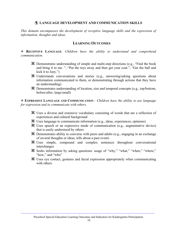### à**LANGUAGE DEVELOPMENT AND COMMUNICATION SKILLS**

*This domain encompasses the development of receptive language skills and the expression of information, thoughts and ideas.* 

### **LEARNING OUTCOMES**

8 **RECEPTIVE LANGUAGE**: *Children have the ability to understand and comprehend communication.* 

- a Demonstrates understanding of simple and multi-step directions (e.g., "Find the book and bring it to me. ", "Put the toys away and then get your coat.", "Get the ball and kick it to Joey.")
- a Understands conversations and stories (e.g., answering/asking questions about information communicated to them, or demonstrating through actions that they have an understanding)
- a Demonstrates understanding of location, size and temporal concepts (e.g., top/bottom, before/after, large/small)

8 **EXPRESSIVE LANGUAGE AND COMMUNICATION** *: Children have the ability to use language for expression and to communicate with others.* 

- a Uses a diverse and extensive vocabulary consisting of words that are a reflection of experiences and cultural background
- a Uses language to communicate information (e.g., ideas, experiences, opinions)
- $\mathcal H$  Uses speech or an expressive mode of communication (e.g., augmentative device) that is easily understood by others
- $\mathcal B$  Demonstrates ability to converse with peers and adults (e.g., engaging in an exchange of several thoughts or ideas, tells about a past event)
- a Uses simple, compound and complex sentences throughout conversational interchanges
- a Seeks information by asking questions: usage of "why," "what," "when," "where," "how," and "who"
- a Uses eye contact, gestures and facial expression appropriately when communicating with others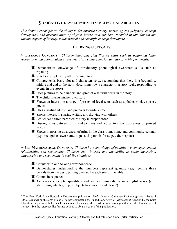# à **COGNITIVE DEVELOPMENT/ INTELLECTUAL ABILITIES**

*This domain encompasses the ability to demonstrate memory, reasoning and judgment, concept development and discrimination of objects, letters, and numbers. Included in this domain are various aspects of literacy, mathematical and scientific concept development.* 

# **LEARNING OUTCOMES**

8 **LITERACY CONCEPTS***<sup>2</sup> : Children have emerging literacy skills such as beginning letter recognition and phonological awareness, story comprehension and use of writing materials.* 

- a Demonstrates knowledge of introductory phonological awareness skills such as rhyming
- a Retells a simple story after listening to it
- $\mathcal B$  Comprehends basic plot and characters (e.g., recognizing that there is a beginning, middle and end to the story, describing how a character in a story feels, responding to events in the story)
- $\mathcal H$  Uses pictures to help understand /predict what will occur in the story
- a The child invents his/her own story
- a Shows an interest in a range of preschool-level texts such as alphabet books, stories, poems
- a Uses a writing utensil and pretends to write a note
- a Shows interest in sharing writing and drawing with others
- a Sequences a three-part picture story in proper order
- a Distinguishes between print and pictures and words to show awareness of printed words
- a Shows increasing awareness of print in the classroom, home and community settings (e.g., recognizes own name, signs and symbols for stop, exit, hospital)

8 **PRE-MATHEMATICAL CONCEPTS***: Children have knowledge of quantitative concepts, spatial relationships and sequencing. Children show interest and the ability to apply measuring, categorizing and sequencing in real-life situations.* 

- a Counts with one-to-one correspondence
- a Demonstrates understanding that numbers represent quantity (e.g., getting three pencils from the desk, putting one cup by each seat at the table)
- $\mathcal{H}$  Counts in sequence

 $\overline{a}$ 

a Associates concepts, quantities and written numerals in meaningful ways (e.g., identifying which group of objects has "more" and "less.")

<sup>2</sup> The New York State Education Department publication *Early Literacy Guidance Prekindergarten –Grade 3*  (2002) expands on this area of early literacy competencies. In addition, *Essential Elements of Reading* by the State Education Department helps teachers include elements in their instructional strategies that are the foundations of literacy. See the reference list for instructions to obtain a copy of this publication.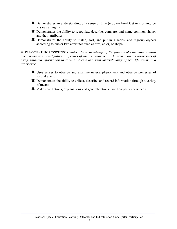- a Demonstrates an understanding of a sense of time (e.g., eat breakfast in morning, go to sleep at night)
- a Demonstrates the ability to recognize, describe, compare, and name common shapes and their attributes
- a Demonstrates the ability to match, sort, and put in a series, and regroup objects according to one or two attributes such as size, color, or shape

8 **PRE-SCIENTIFIC CONCEPTS:** *Children have knowledge of the process of examining natural phenomena and investigating properties of their environment. Children show an awareness of using gathered information to solve problems and gain understanding of real life events and experience.* 

- a Uses senses to observe and examine natural phenomena and observe processes of natural events
- a Demonstrates the ability to collect, describe, and record information through a variety of means
- a Makes predictions, explanations and generalizations based on past experiences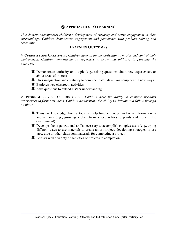# $\bigcirc$  APPROACHES TO LEARNING

*This domain encompasses children's development of curiosity and active engagement in their surroundings. Children demonstrate engagement and persistence with problem solving and reasoning.* 

### **LEARNING OUTCOMES**

8 **CURIOSITY AND CREATIVITY:** *Children have an innate motivation to master and control their environment. Children demonstrate an eagerness to know and initiative in pursuing the unknown.* 

- a Demonstrates curiosity on a topic (e.g., asking questions about new experiences, or about areas of interest)
- a Uses imagination and creativity to combine materials and/or equipment in new ways
- $\mathcal H$  Explores new classroom activities
- a Asks questions to extend his/her understanding

8 **PROBLEM SOLVING AND REASONING:** *Children have the ability to combine previous experiences to form new ideas. Children demonstrate the ability to develop and follow through on plans.* 

- a Transfers knowledge from a topic to help him/her understand new information in another area (e.g., growing a plant from a seed relates to plants and trees in the environment)
- $\mathcal B$  Develops the organizational skills necessary to accomplish complex tasks (e.g., trying different ways to use materials to create an art project, developing strategies to use tape, glue or other classroom materials for completing a project)
- a Persists with a variety of activities or projects to completion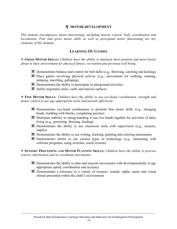# à **MOTOR DEVELOPMENT**

*This domain encompasses motor functioning; including muscle control, body coordination and locomotion. Fine and gross motor skills as well as perceptual motor functioning are key elements of this domain.* 

### **LEARNING OUTCOMES**

8 **GROSS MOTOR SKILLS:** *Children have the ability to maintain their position and move freely about in their environment for physical fitness, recreation and personal well being.* 

- $\mathcal B$  Demonstrates balance and control for ball skills (e.g., throwing, catching and kicking)
- a Plays games involving physical activity (e.g., movements for walking, running, jumping, marching, galloping)
- a Demonstrates the ability to participate in playground activities
- a Safely negotiates stairs, curbs and uneven surfaces

8 **FINE MOTOR SKILLS***: Children have the ability to use eye-hand coordination, strength and motor control to use age-appropriate tools and utensils effectively.* 

- a Demonstrates eye-hand coordination to perform fine motor skills (e.g., stringing beads, building with blocks, completing puzzles)
- a Maintains stability in sitting/standing to use two hands together for activities of daily living (e.g., grooming, dressing, feeding)
- $\mathcal B$  Demonstrates the ability to use classroom tools with supervision (e.g., scissors, stapler)
- a Demonstrates the ability to use writing, drawing, painting and coloring instruments
- a Demonstrates ability to use various types of technology (e.g., interacting with software programs, using switches, touch screens)

8 **SENSORY PROCESSING AND MOTOR PLANNING SKILLS:** *Children have the ability to process sensory information and to coordinate movements.* 

- a Demonstrates the ability to plan and execute movements with developmentally or age appropriate speed, coordination and accuracy
- a Demonstrates a tolerance to a variety of textures, sounds, sights, tastes and visual stimuli presented within the child's environment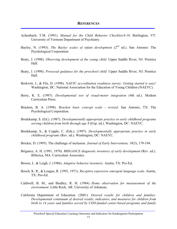- Achenbach, T.M. (1991). *Manual for the Child Behavior Checklist/4-18*. Burlington, VT: University of Vermont Department of Psychiatry.
- Bayley, N. (1993). *The Bayley scales of infant development* (2<sup>nd</sup> ed.). San Antonio: The Psychological Corporation.
- Beaty, J. (1998). *Observing development of the young child.* Upper Saddle River, NJ: Prentice Hall.
- Beaty, J. (1998). *Prosocial guidance for the preschool child.* Upper Saddle River, NJ: Prentice Hall.
- Berkwitt, J., & Flis, D. (1998). *NAEYC accreditation readiness survey: Getting started is easy!*  Washington, DC: National Association for the Education of Young Children (NAEYC).
- Berry, K. E. (1997). *Developmental test of visual-motor integration* (4th ed.). Modern Curriculum Press.
- Bracken, B. A. (1998). *Bracken basic concept scale revised*. San Antonio, TX: The Psychological Corporation.
- Bredekamp, S. (Ed.). (1987). *Developmentally appropriate practice in early childhood programs serving children from birth through age 8* (Exp. ed.). Washington, DC: NAEYC.
- Bredekamp, S., & Copple, C. (Eds.). (1997). *Developmentally appropriate practice in early childhood programs* (Rev. ed.). Washington, DC: NAEYC.
- Bricker, D. (1995). The challenge of inclusion. *Journal of Early Intervention, 19*(3), 179-194.
- Brigance, A. H. (1991, 1978). *BRIGANCE diagnostic inventory of early development* (Rev. ed.)*.*  Billerica, MA: Curriculum Associates.
- Brown, L. & Leigh, J. (1986). *Adaptive behavior inventory*. Austin, TX: Pro-Ed.
- Bzoch, K. R., & League, R. (1991, 1971). *Receptive expressive emergent language scale*. Austin, TX: Pro-Ed.
- Caldwell, B. M., and Bradley, R. H. (1984) *Home observation for measurement of the environment*. Little Rock, AR: University of Arkansas.
- California Department of Education. (2001). *Desired results for children and families: Developmental continuum of desired results, indicators, and measures for children from birth to 14 years and families served by CDD-funded center-based programs and family*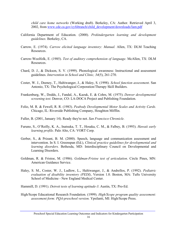*child care home networks* (Working draft). Berkeley, CA: Author. Retrieved April 3, 2002, from www.cde.ca.gov/cyfsbranch/child\_development/downloads/Iam.pdf

- California Department of Education. (2000). *Prekindergarten learning and development guidelines.* Berkeley, CA.
- Carrow, E. (1974). *Carrow elicited language inventory: Manual.* Allen, TX: DLM Teaching Resources.
- Carrow-Woolfolk, E. (1985). *Test of auditory comprehension of language*. McAllen, TX: DLM Resources.
- Chard, D. J., & Dickson, S. V. (1999). Phonological awareness: Instructional and assessment guidelines. *Intervention in School and Clinic, 34*(5), 261-270.
- Coster, W. J., Deeney, T., Haltiwanger, J., & Haley, S. (1998). *School function assessment*. San Antonio, TX: The Psychological Corporation/Therapy Skill Builders.
- Frankenburg, W., Dodds, J., Fandal, A., Kazuk, E. & Cohrs, M. (1975). *Denver developmental screening test*. Denver, CO: LA-DOCA Project and Publishing Foundation.
- Folio, M. R. & Fewell, R. R. (1983). *Peabody Developmental Motor Scales and Activity Cards.*  Chicago, IL: Riverside Publishing Company, Houghton Mifflin.
- Fuller, B. (2001, January 14). Ready they're not. *San Francisco Chronicle.*
- Furuno, S., O'Reilly, K. A., Inatsuka, T. T., Hosaka, C. M., & Falbey, B. (1993). *Hawaii early learning profile*. Palo Alto, CA: VORT Corp.
- Gerber, S., & Prizant, B. M. (2000). Speech, language and communication assessment and intervention. In S. I. Greenspan (Ed.), *Clinical practice guidelines for developmental and learning disorders.* Bethesda, MD: Interdisciplinary Council on Developmental and Learning Disorders.
- Goldman, R. & Fristoe, M. (1986). *Goldman-Fristoe test of articulation*. Circle Pines, MN: American Guidance Service.
- Haley, S. M., Coster, W. J., Ludlow, L., Haltiwanger, J., & Andrellos, P. (1992). *Pediatric evaluation of disability inventory (PEDI)*, Version 1.0. Boston, MA: Tufts University School of Medicine - New England Medical Center.
- Hammill, D. (1991). *Detroit tests of learning aptitude-3*. Austin, TX: Pro-Ed.
- High/Scope Educational Research Foundation. (1999). *High/Scope program quality assessment: assessment form: PQA-preschool version.* Ypsilanti, MI: High/Scope Press.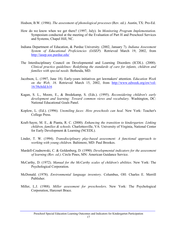Hodson, B.W. (1986). *The assessment of phonological processes* (Rev. ed.). Austin, TX: Pro-Ed.

- How do we know when we get there? (1997, July). In *Monitoring Program Implementation.*  Symposium conducted at the meeting of the Evaluation of Part H and Preschool Services and Systems, Chapel Hill, NC.
- Indiana Department of Education, & Purdue University. (2002, January 7). *Indiana Assessment System of Educational Proficiencies (IASEP).* Retrieved March 19, 2002, from http://iasep.soe.purdue.edu/
- The Interdisciplinary Council on Developmental and Learning Disorders (ICDL). (2000). *Clinical practice guidelines: Redefining the standards of care for infants, children and families with special needs.* Bethesda, MD.
- Jacobson, L. (1997, June 18). Early-years initiatives get lawmakers' attention. *Education Week on the Web, 16.* Retrieved March 15, 2002, from http://www.edweek.org/ew/vol-16/38child.h16
- Kagan, S. L., Moore, E., & Bredekamp, S. (Eds.). (1995). *Reconsidering children's early development and learning: Toward common views and vocabulary.* Washington, DC: National Educational Goals Panel.
- Koplow, L. (Ed.). (1996). *Unsmiling faces: How preschools can heal.* New York: Teacher's College Press.
- Kraft-Sayre, M. E., & Pianta, R. C. (2000). *Enhancing the transition to kindergarten: Linking children, families & schools.* Charlottesville, VA: University of Virginia, National Center for Early Development & Learning (NCEDL).
- Linder, T. W. (1994). *Transdisciplinary play-based assessment: A functional approach to working with young children.* Baltimore, MD: Paul Brookes.
- Mardell-Czudnowski, C. & Goldenberg, D. (1990). *Developmental indicators for the assessment of learning (Rev. ed.)*. Circle Pines, MN: American Guidance Service.
- McCarthy, D. (1972). *Manual for the McCarthy scales of children's abilities.* New York: The Psychological Corporation.
- McDonald. (1978). *Environmental language inventory*. Columbus, OH: Charles E. Merrill Publisher.
- Miller, L.J. (1988). *Miller assessment for preschoolers*. New York: The Psychological Corporation, Harcourt Brace.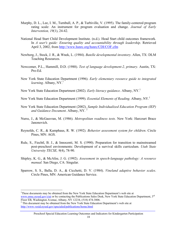- Murphy, D. L., Lee, I. M., Turnbull, A. P., & Turbiville, V. (1995). The family-centered program rating scale: An instrument for program evaluation and change. *Journal of Early Intervention, 19*(1), 24-42.
- National Head Start Child Development Institute. (n.d.). Head Start child outcomes framework. In *A* user's guide: Ensuring quality and accountability through leadership. Retrieved April 3, 2002, from http://www.hsnrc.org/hsnrc/CDI/COF.cfm
- Newborg, J., Stock, J. R., & Wnek, L. (1984). *Batelle developmental inventory*. Allen, TX: DLM Teaching Resources.
- Newcomer, P.L., Hammill, D.D. (1988). *Test of language development-2, primary*. Austin, TX: Pro-Ed.
- New York State Education Department (1996). *Early elementary resource guide to integrated learning*. Albany, NY.<sup>1</sup>
- New York State Education Department (2002). *Early literacy guidance*. Albany, NY.<sup>1</sup>
- New York State Education Department (1999). *Essential Elements of Reading*. Albany, NY.<sup>1</sup>
- New York State Education Department (2002). *Sample Individualized Education Program (IEP)*  and Guidance Document. Albany, NY.<sup>2</sup>
- Nurss, J., & McGauvran, M. (1986). *Metropolitan readiness tests.* New York: Harcourt Brace Janonovich.
- Reynolds, C. R., & Kamphaus, R. W. (1992). *Behavior assessment system for children*. Circle Pines, MN: AGS.
- Rule, S., Fiechtl, B. J., & Innocenti, M. S. (1990). Preparation for transition to mainstreamed post-preschool environments: Development of a survival skills curriculum. *Utah State University TECSE, 9*(4), 78-90.
- Shipley, K. G., & McAfee, J. G. (1992). *Assessment in speech-language pathology: A resource manual.* San Diego, CA: Singular.
- Sparrow, S. S., Balla, D. A., & Cicchetti, D. V. (1984). *Vineland adaptive behavior scales*. Circle Pines, MN: American Guidance Service.

1

<sup>&</sup>lt;sup>1</sup>These documents may be obtained from the New York State Education Department's web site at www.emsc.nysed.gov/ciai or by contacting the Publications Sales Desk, New York State Education Department, 3<sup>rd</sup> Floor EB, Washington Avenue, Albany, NY 12234, (518) 474-3806.

 $2^2$  This document may be obtained from the New York State Education Department's web site at http://www.vesid.nysed.gov/specialed/publications/home.html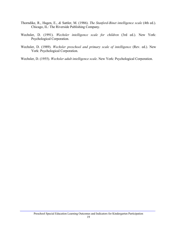- Thorndike, R., Hagen, E., *&* Sattler, M. (1986). *The Stanford-Binet intelligence scale* (4th ed.). Chicago, IL: The Riverside Publishing Company.
- Wechsler, D. (1991). *Wechsler intelligence scale for children* (3rd ed.)*.* New York: Psychological Corporation.
- Wechsler, D. (1989). *Wechsler preschool and primary scale of intelligence* (Rev. ed.). New York: Psychological Corporation.
- Wechsler, D. (1955). *Wechsler adult intelligence scale*. New York: Psychological Corporation.